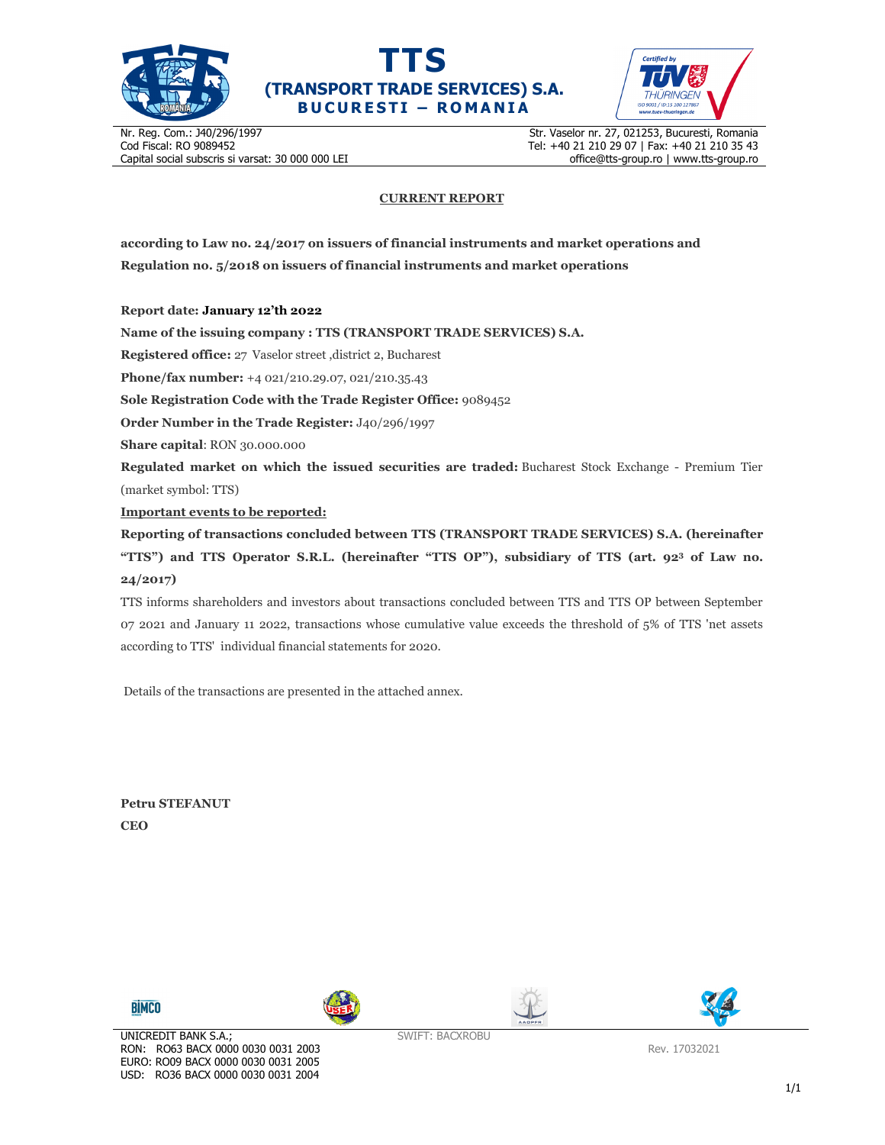





Nr. Reg. Com.: J40/296/1997 Cod Fiscal: RO 9089452 Capital social subscris si varsat: 30 000 000 LEI Str. Vaselor nr. 27, 021253, Bucuresti, Romania Tel: +40 21 210 29 07 | Fax: +40 21 210 35 43 office@tts-group.ro | www.tts-group.ro

## **CURRENT REPORT**

**according to Law no. 24/2017 on issuers of financial instruments and market operations and Regulation no. 5/2018 on issuers of financial instruments and market operations** 

**Report date: January 12'th 2022**

**Name of the issuing company : TTS (TRANSPORT TRADE SERVICES) S.A.**

**Registered office:** 27 Vaselor street ,district 2, Bucharest

**Phone/fax number:** +4 021/210.29.07, 021/210.35.43

**Sole Registration Code with the Trade Register Office:** 9089452

**Order Number in the Trade Register:** J40/296/1997

**Share capital**: RON 30.000.000

**Regulated market on which the issued securities are traded:** Bucharest Stock Exchange - Premium Tier (market symbol: TTS)

**Important events to be reported:**

**Reporting of transactions concluded between TTS (TRANSPORT TRADE SERVICES) S.A. (hereinafter "TTS") and TTS Operator S.R.L. (hereinafter "TTS OP"), subsidiary of TTS (art. 92<sup>3</sup> of Law no. 24/2017)** 

TTS informs shareholders and investors about transactions concluded between TTS and TTS OP between September 07 2021 and January 11 2022, transactions whose cumulative value exceeds the threshold of 5% of TTS 'net assets according to TTS' individual financial statements for 2020.

Details of the transactions are presented in the attached annex.

**Petru STEFANUT CEO** 









Rev. 17032021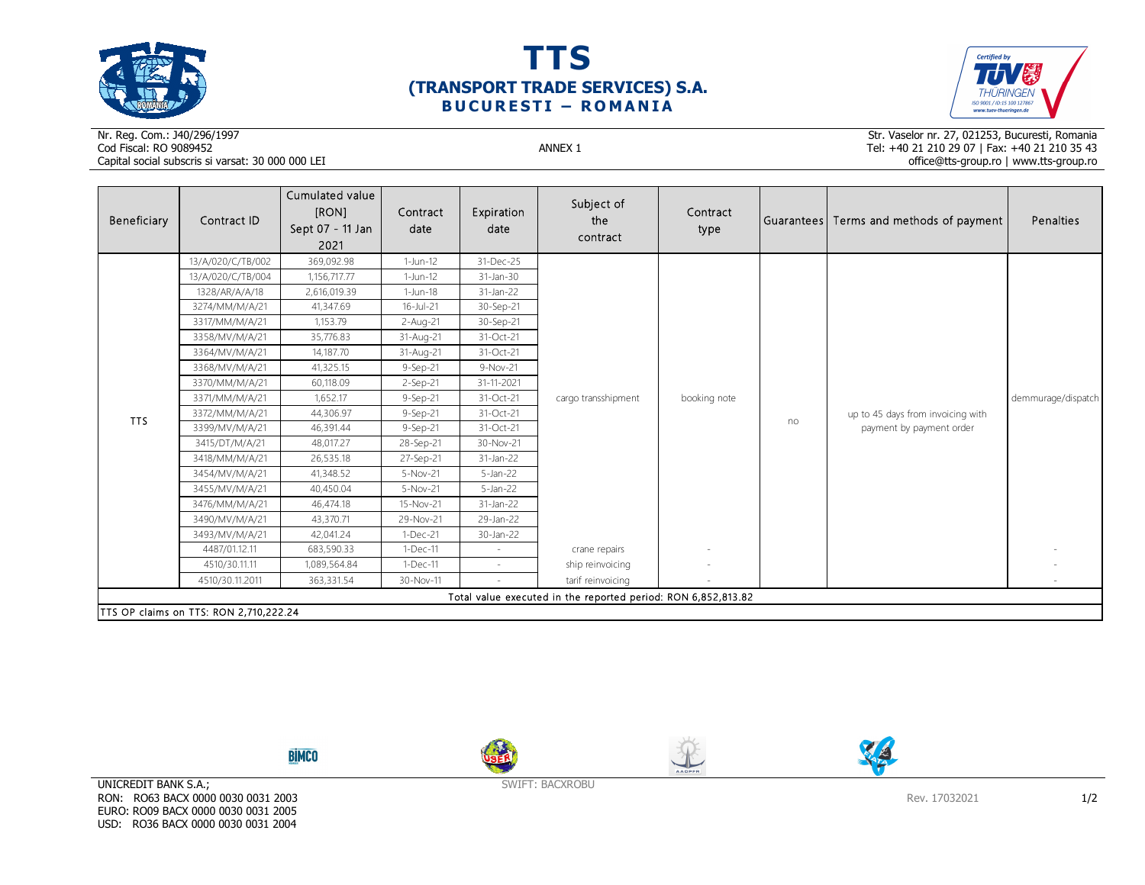

 $\sim$ 





## Nr. Reg. Com.: J40/296/1997Cod Fiscal: RO 9089452 ANNEX 1 Capital social subscris si varsat: 30 000 000 LEI

Str. Vaselor nr. 27, 021253, Bucuresti, Romania Tel: +40 21 210 29 07 | Fax: +40 21 210 35 43 office@tts-group.ro | www.tts-group.ro

| Beneficiary                            | Contract ID       | Cumulated value<br>[RON]<br>Sept 07 - 11 Jan<br>2021 | Contract<br>date | Expiration<br>date | Subject of<br>the<br>contract                                 | Contract<br>type |    | Guarantees  Terms and methods of payment | Penalties          |  |
|----------------------------------------|-------------------|------------------------------------------------------|------------------|--------------------|---------------------------------------------------------------|------------------|----|------------------------------------------|--------------------|--|
| <b>TTS</b>                             | 13/A/020/C/TB/002 | 369,092.98                                           | $1-Jun-12$       | 31-Dec-25          | cargo transshipment                                           | booking note     |    |                                          | demmurage/dispatch |  |
|                                        | 13/A/020/C/TB/004 | 1,156,717.77                                         | 1-Jun-12         | 31-Jan-30          |                                                               |                  |    |                                          |                    |  |
|                                        | 1328/AR/A/A/18    | 2,616,019.39                                         | $1-Jun-18$       | 31-Jan-22          |                                                               |                  |    |                                          |                    |  |
|                                        | 3274/MM/M/A/21    | 41,347.69                                            | $16 -$ Jul $-21$ | 30-Sep-21          |                                                               |                  |    |                                          |                    |  |
|                                        | 3317/MM/M/A/21    | 1,153.79                                             | 2-Aug-21         | 30-Sep-21          |                                                               |                  |    |                                          |                    |  |
|                                        | 3358/MV/M/A/21    | 35,776.83                                            | 31-Aug-21        | 31-Oct-21          |                                                               |                  |    |                                          |                    |  |
|                                        | 3364/MV/M/A/21    | 14,187.70                                            | 31-Aug-21        | 31-Oct-21          |                                                               |                  |    |                                          |                    |  |
|                                        | 3368/MV/M/A/21    | 41,325.15                                            | $9-$ Sep $-21$   | 9-Nov-21           |                                                               |                  |    |                                          |                    |  |
|                                        | 3370/MM/M/A/21    | 60,118.09                                            | 2-Sep-21         | 31-11-2021         |                                                               |                  |    |                                          |                    |  |
|                                        | 3371/MM/M/A/21    | 1,652.17                                             | $9-$ Sep $-21$   | 31-Oct-21          |                                                               |                  |    |                                          |                    |  |
|                                        | 3372/MM/M/A/21    | 44,306.97                                            | $9-$ Sep $-21$   | 31-Oct-21          |                                                               |                  |    | up to 45 days from invoicing with        |                    |  |
|                                        | 3399/MV/M/A/21    | 46,391.44                                            | $9-$ Sep $-21$   | 31-Oct-21          |                                                               |                  | no | payment by payment order                 |                    |  |
|                                        | 3415/DT/M/A/21    | 48,017.27                                            | 28-Sep-21        | 30-Nov-21          |                                                               |                  |    |                                          |                    |  |
|                                        | 3418/MM/M/A/21    | 26,535.18                                            | 27-Sep-21        | 31-Jan-22          |                                                               |                  |    |                                          |                    |  |
|                                        | 3454/MV/M/A/21    | 41,348.52                                            | 5-Nov-21         | $5$ -Jan-22        |                                                               |                  |    |                                          |                    |  |
|                                        | 3455/MV/M/A/21    | 40,450.04                                            | 5-Nov-21         | $5$ -Jan-22        |                                                               |                  |    |                                          |                    |  |
|                                        | 3476/MM/M/A/21    | 46,474.18                                            | 15-Nov-21        | 31-Jan-22          |                                                               |                  |    |                                          |                    |  |
|                                        | 3490/MV/M/A/21    | 43,370.71                                            | 29-Nov-21        | 29-Jan-22          |                                                               |                  |    |                                          |                    |  |
|                                        | 3493/MV/M/A/21    | 42,041.24                                            | $1-Dec-21$       | 30-Jan-22          |                                                               |                  |    |                                          |                    |  |
|                                        | 4487/01.12.11     | 683,590.33                                           | $1-Dec-11$       |                    | crane repairs                                                 |                  |    |                                          |                    |  |
|                                        | 4510/30.11.11     | 1,089,564.84                                         | $1-Dec-11$       | $\sim$             | ship reinvoicing                                              |                  |    |                                          |                    |  |
|                                        | 4510/30.11.2011   | 363,331.54                                           | 30-Nov-11        |                    | tarif reinvoicing                                             |                  |    |                                          |                    |  |
|                                        |                   |                                                      |                  |                    | Total value executed in the reported period: RON 6,852,813.82 |                  |    |                                          |                    |  |
| TTS OP claims on TTS: RON 2,710,222.24 |                   |                                                      |                  |                    |                                                               |                  |    |                                          |                    |  |